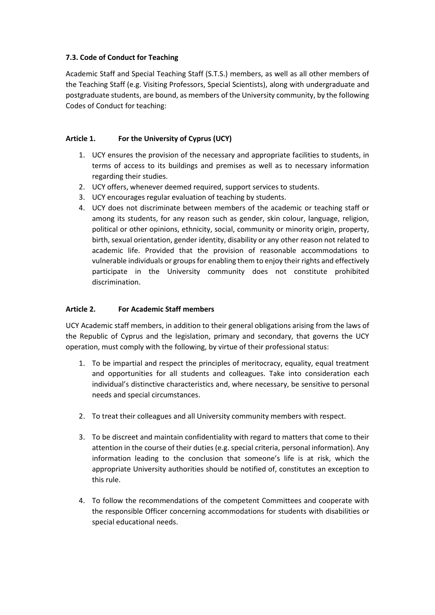# **7.3. Code of Conduct for Teaching**

Academic Staff and Special Teaching Staff (S.T.S.) members, as well as all other members of the Teaching Staff (e.g. Visiting Professors, Special Scientists), along with undergraduate and postgraduate students, are bound, as members of the University community, by the following Codes of Conduct for teaching:

# **Article 1. For the University of Cyprus (UCY)**

- 1. UCY ensures the provision of the necessary and appropriate facilities to students, in terms of access to its buildings and premises as well as to necessary information regarding their studies.
- 2. UCY offers, whenever deemed required, support services to students.
- 3. UCY encourages regular evaluation of teaching by students.
- 4. UCY does not discriminate between members of the academic or teaching staff or among its students, for any reason such as gender, skin colour, language, religion, political or other opinions, ethnicity, social, community or minority origin, property, birth, sexual orientation, gender identity, disability or any other reason not related to academic life. Provided that the provision of reasonable accommodations to vulnerable individuals or groups for enabling them to enjoy their rights and effectively participate in the University community does not constitute prohibited discrimination.

## **Article 2. For Academic Staff members**

UCY Academic staff members, in addition to their general obligations arising from the laws of the Republic of Cyprus and the legislation, primary and secondary, that governs the UCY operation, must comply with the following, by virtue of their professional status:

- 1. To be impartial and respect the principles of meritocracy, equality, equal treatment and opportunities for all students and colleagues. Take into consideration each individual's distinctive characteristics and, where necessary, be sensitive to personal needs and special circumstances.
- 2. To treat their colleagues and all University community members with respect.
- 3. To be discreet and maintain confidentiality with regard to matters that come to their attention in the course of their duties (e.g. special criteria, personal information). Any information leading to the conclusion that someone's life is at risk, which the appropriate University authorities should be notified of, constitutes an exception to this rule.
- 4. To follow the recommendations of the competent Committees and cooperate with the responsible Officer concerning accommodations for students with disabilities or special educational needs.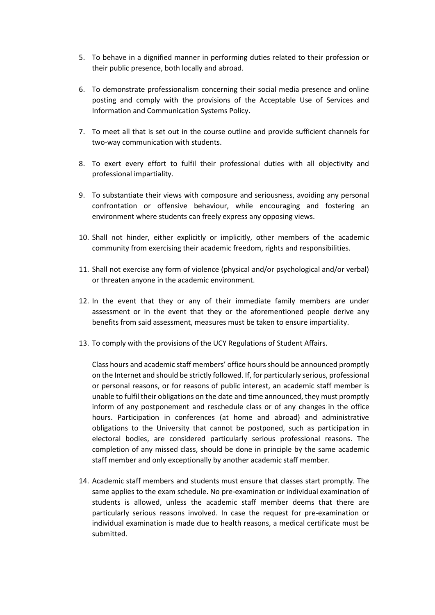- 5. To behave in a dignified manner in performing duties related to their profession or their public presence, both locally and abroad.
- 6. To demonstrate professionalism concerning their social media presence and online posting and comply with the provisions of the Acceptable Use of Services and Information and Communication Systems Policy.
- 7. To meet all that is set out in the course outline and provide sufficient channels for two-way communication with students.
- 8. To exert every effort to fulfil their professional duties with all objectivity and professional impartiality.
- 9. To substantiate their views with composure and seriousness, avoiding any personal confrontation or offensive behaviour, while encouraging and fostering an environment where students can freely express any opposing views.
- 10. Shall not hinder, either explicitly or implicitly, other members of the academic community from exercising their academic freedom, rights and responsibilities.
- 11. Shall not exercise any form of violence (physical and/or psychological and/or verbal) or threaten anyone in the academic environment.
- 12. In the event that they or any of their immediate family members are under assessment or in the event that they or the aforementioned people derive any benefits from said assessment, measures must be taken to ensure impartiality.
- 13. To comply with the provisions of the UCY Regulations of Student Affairs.

Class hours and academic staff members' office hours should be announced promptly on the Internet and should be strictly followed. If, for particularly serious, professional or personal reasons, or for reasons of public interest, an academic staff member is unable to fulfil their obligations on the date and time announced, they must promptly inform of any postponement and reschedule class or of any changes in the office hours. Participation in conferences (at home and abroad) and administrative obligations to the University that cannot be postponed, such as participation in electoral bodies, are considered particularly serious professional reasons. The completion of any missed class, should be done in principle by the same academic staff member and only exceptionally by another academic staff member.

14. Academic staff members and students must ensure that classes start promptly. The same applies to the exam schedule. No pre-examination or individual examination of students is allowed, unless the academic staff member deems that there are particularly serious reasons involved. In case the request for pre-examination or individual examination is made due to health reasons, a medical certificate must be submitted.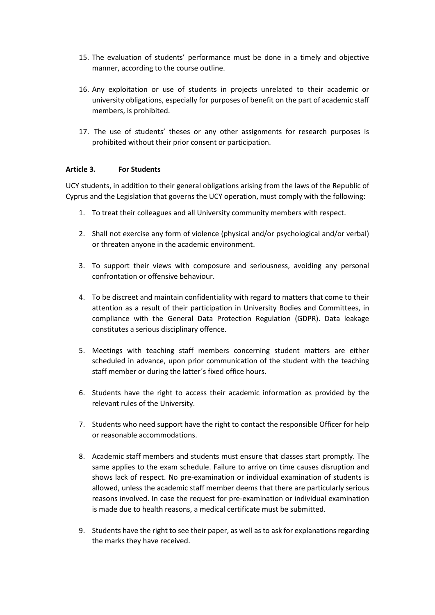- 15. The evaluation of students' performance must be done in a timely and objective manner, according to the course outline.
- 16. Any exploitation or use of students in projects unrelated to their academic or university obligations, especially for purposes of benefit on the part of academic staff members, is prohibited.
- 17. The use of students' theses or any other assignments for research purposes is prohibited without their prior consent or participation.

### **Article 3. For Students**

UCY students, in addition to their general obligations arising from the laws of the Republic of Cyprus and the Legislation that governs the UCY operation, must comply with the following:

- 1. To treat their colleagues and all University community members with respect.
- 2. Shall not exercise any form of violence (physical and/or psychological and/or verbal) or threaten anyone in the academic environment.
- 3. To support their views with composure and seriousness, avoiding any personal confrontation or offensive behaviour.
- 4. To be discreet and maintain confidentiality with regard to matters that come to their attention as a result of their participation in University Bodies and Committees, in compliance with the General Data Protection Regulation (GDPR). Data leakage constitutes a serious disciplinary offence.
- 5. Meetings with teaching staff members concerning student matters are either scheduled in advance, upon prior communication of the student with the teaching staff member or during the latter´s fixed office hours.
- 6. Students have the right to access their academic information as provided by the relevant rules of the University.
- 7. Students who need support have the right to contact the responsible Officer for help or reasonable accommodations.
- 8. Academic staff members and students must ensure that classes start promptly. The same applies to the exam schedule. Failure to arrive on time causes disruption and shows lack of respect. No pre-examination or individual examination of students is allowed, unless the academic staff member deems that there are particularly serious reasons involved. In case the request for pre-examination or individual examination is made due to health reasons, a medical certificate must be submitted.
- 9. Students have the right to see their paper, as well as to ask for explanations regarding the marks they have received.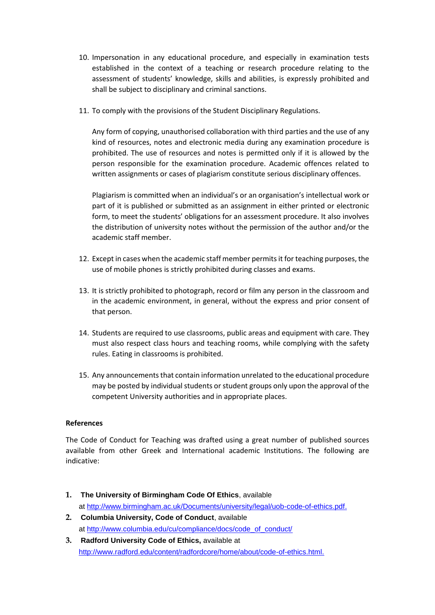- 10. Impersonation in any educational procedure, and especially in examination tests established in the context of a teaching or research procedure relating to the assessment of students' knowledge, skills and abilities, is expressly prohibited and shall be subject to disciplinary and criminal sanctions.
- 11. To comply with the provisions of the Student Disciplinary Regulations.

Any form of copying, unauthorised collaboration with third parties and the use of any kind of resources, notes and electronic media during any examination procedure is prohibited. The use of resources and notes is permitted only if it is allowed by the person responsible for the examination procedure. Academic offences related to written assignments or cases of plagiarism constitute serious disciplinary offences.

Plagiarism is committed when an individual's or an organisation's intellectual work or part of it is published or submitted as an assignment in either printed or electronic form, to meet the students' obligations for an assessment procedure. It also involves the distribution of university notes without the permission of the author and/or the academic staff member.

- 12. Except in cases when the academic staff member permits it for teaching purposes, the use of mobile phones is strictly prohibited during classes and exams.
- 13. It is strictly prohibited to photograph, record or film any person in the classroom and in the academic environment, in general, without the express and prior consent of that person.
- 14. Students are required to use classrooms, public areas and equipment with care. They must also respect class hours and teaching rooms, while complying with the safety rules. Eating in classrooms is prohibited.
- 15. Any announcements that contain information unrelated to the educational procedure may be posted by individual students or student groups only upon the approval of the competent University authorities and in appropriate places.

### **References**

The Code of Conduct for Teaching was drafted using a great number of published sources available from other Greek and International academic Institutions. The following are indicative:

- **1. The University of Birmingham Code Of Ethics**, available at [http://www.birmingham.ac.uk/Documents/university/legal/uob-code-of-ethics.pdf.](http://www.birmingham.ac.uk/Documents/university/legal/uob-code-of-ethics.pdf)
- **2. Columbia University, Code of Conduct**, available at [http://www.columbia.edu/cu/compliance/docs/code\\_of\\_conduct/](http://www.columbia.edu/cu/compliance/docs/code_of_conduct/)
- **3. Radford University Code of Ethics,** available at <http://www.radford.edu/content/radfordcore/home/about/code>[-of-ethics.html.](http://www.radford.edu/content/radfordcore/home/about/code-of-ethics.html)